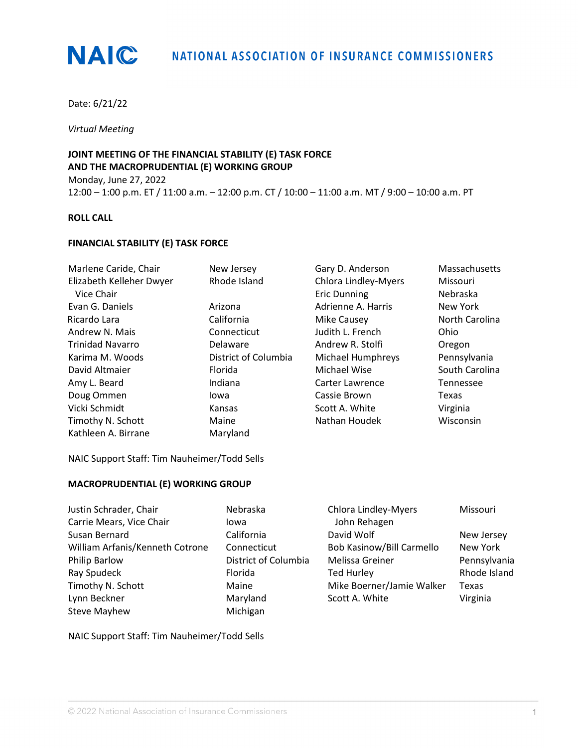

Date: 6/21/22

*Virtual Meeting*

**JOINT MEETING OF THE FINANCIAL STABILITY (E) TASK FORCE AND THE MACROPRUDENTIAL (E) WORKING GROUP** Monday, June 27, 2022 12:00 – 1:00 p.m. ET / 11:00 a.m. – 12:00 p.m. CT / 10:00 – 11:00 a.m. MT / 9:00 – 10:00 a.m. PT

### **ROLL CALL**

#### **FINANCIAL STABILITY (E) TASK FORCE**

| Marlene Caride, Chair    | New Jersey           | Gary D. Anderson            | Massachusetts  |
|--------------------------|----------------------|-----------------------------|----------------|
| Elizabeth Kelleher Dwyer | Rhode Island         | <b>Chlora Lindley-Myers</b> | Missouri       |
| Vice Chair               |                      | <b>Eric Dunning</b>         | Nebraska       |
| Evan G. Daniels          | Arizona              | Adrienne A. Harris          | New York       |
| Ricardo Lara             | California           | Mike Causey                 | North Carolina |
| Andrew N. Mais           | Connecticut          | Judith L. French            | Ohio           |
| <b>Trinidad Navarro</b>  | Delaware             | Andrew R. Stolfi            | Oregon         |
| Karima M. Woods          | District of Columbia | <b>Michael Humphreys</b>    | Pennsylvania   |
| David Altmaier           | <b>Florida</b>       | Michael Wise                | South Carolina |
| Amy L. Beard             | Indiana              | Carter Lawrence             | Tennessee      |
| Doug Ommen               | lowa                 | Cassie Brown                | Texas          |
| Vicki Schmidt            | Kansas               | Scott A. White              | Virginia       |
| Timothy N. Schott        | Maine                | Nathan Houdek               | Wisconsin      |
| Kathleen A. Birrane      | Maryland             |                             |                |

NAIC Support Staff: Tim Nauheimer/Todd Sells

## **MACROPRUDENTIAL (E) WORKING GROUP**

| Justin Schrader, Chair          | Nebraska             | Chlora Lindley-Myers             | Missouri     |
|---------------------------------|----------------------|----------------------------------|--------------|
| Carrie Mears, Vice Chair        | lowa                 | John Rehagen                     |              |
| Susan Bernard                   | California           | David Wolf                       | New Jersey   |
| William Arfanis/Kenneth Cotrone | Connecticut          | <b>Bob Kasinow/Bill Carmello</b> | New York     |
| Philip Barlow                   | District of Columbia | Melissa Greiner                  | Pennsylvania |
| Ray Spudeck                     | Florida              | <b>Ted Hurley</b>                | Rhode Island |
| Timothy N. Schott               | Maine                | Mike Boerner/Jamie Walker        | Texas        |
| Lynn Beckner                    | Maryland             | Scott A. White                   | Virginia     |
| <b>Steve Mayhew</b>             | Michigan             |                                  |              |

NAIC Support Staff: Tim Nauheimer/Todd Sells